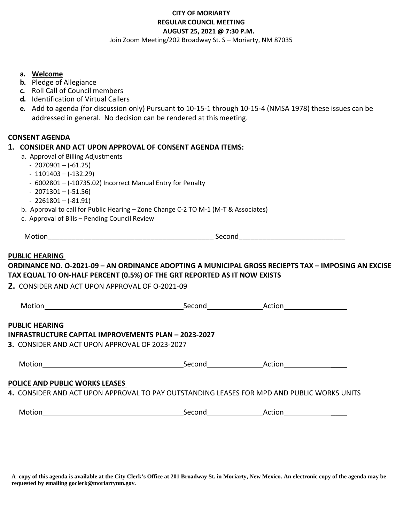# **CITY OF MORIARTY REGULAR COUNCIL MEETING AUGUST 25, 2021 @ 7:30 P.M.**

Join Zoom Meeting/202 Broadway St. S – Moriarty, NM 87035

#### **a. Welcome**

- **b.** Pledge of Allegiance
- **c.** Roll Call of Council members
- **d.** Identification of Virtual Callers
- **e.** Add to agenda (for discussion only) Pursuant to 10-15-1 through 10-15-4 (NMSA 1978) these issues can be addressed in general. No decision can be rendered at thismeeting.

## **CONSENT AGENDA**

## **1. CONSIDER AND ACT UPON APPROVAL OF CONSENT AGENDA ITEMS:**

- a. Approval of Billing Adjustments
	- $-2070901 (-61.25)$
	- $-1101403 (-132.29)$
	- 6002801 (-10735.02) Incorrect Manual Entry for Penalty
	- $-2071301 (-51.56)$
	- $-2261801 (-81.91)$
- b. Approval to call for Public Hearing Zone Change C-2 TO M-1 (M-T & Associates)
- c. Approval of Bills Pending Council Review

| M<br>_____<br>- - - - |  |
|-----------------------|--|
|-----------------------|--|

## **PUBLIC HEARING**

# **ORDINANCE NO. O-2021-09 – AN ORDINANCE ADOPTING A MUNICIPAL GROSS RECIEPTS TAX – IMPOSING AN EXCISE TAX EQUAL TO ON-HALF PERCENT (0.5%) OF THE GRT REPORTED AS IT NOW EXISTS**

**2.** CONSIDER AND ACT UPON APPROVAL OF O-2021-09

| Motion                                               | Second | Action |  |
|------------------------------------------------------|--------|--------|--|
| <b>PUBLIC HEARING</b>                                |        |        |  |
| INFRASTRUCTURE CAPITAL IMPROVEMENTS PLAN - 2023-2027 |        |        |  |
| 3. CONSIDER AND ACT UPON APPROVAL OF 2023-2027       |        |        |  |
| Motion                                               | Second | Action |  |
| BOULER AND BUBULE WABUC LEACES                       |        |        |  |

#### **POLICE AND PUBLIC WORKS LEASES**

**4.** CONSIDER AND ACT UPON APPROVAL TO PAY OUTSTANDING LEASES FOR MPD AND PUBLIC WORKS UNITS

| Motior | Second | Action |
|--------|--------|--------|
|        |        |        |

**A copy of this agenda is available at the City Clerk's Office at 201 Broadway St. in Moriarty, New Mexico. An electronic copy of the agenda may be requested by emailing goclerk@moriartynm.gov.**